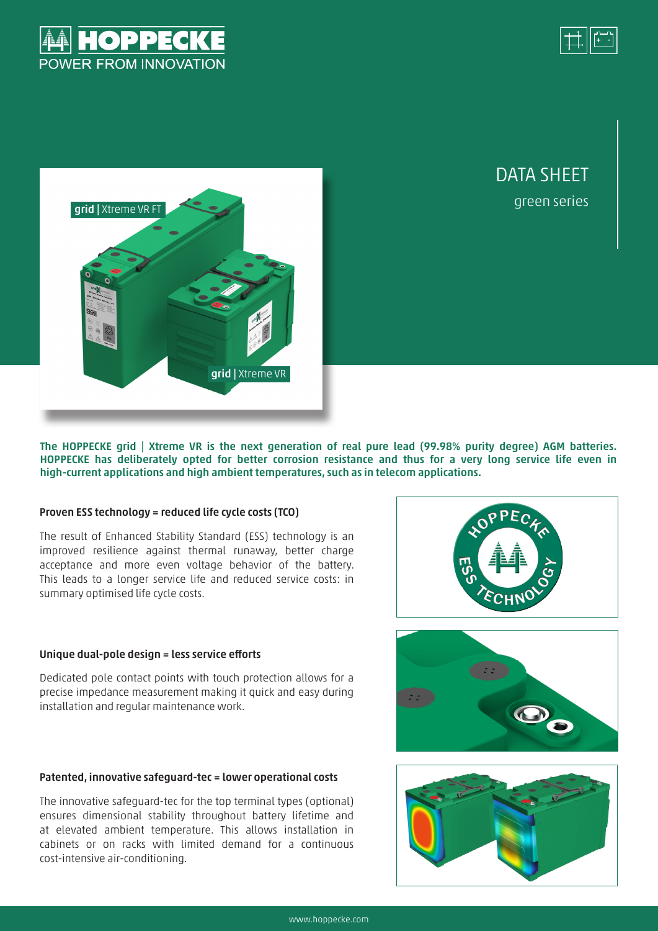



green series

DATA SHEFT



The HOPPECKE grid | Xtreme VR is the next generation of real pure lead (99.98% purity degree) AGM batteries. HOPPECKE has deliberately opted for better corrosion resistance and thus for a very long service life even in high-current applications and high ambient temperatures, such as in telecom applications.

### Proven ESS technology = reduced life cycle costs (TCO)

The result of Enhanced Stability Standard (ESS) technology is an improved resilience against thermal runaway, better charge acceptance and more even voltage behavior of the battery. This leads to a longer service life and reduced service costs: in summary optimised life cycle costs.

### Unique dual-pole design = less service efforts

Dedicated pole contact points with touch protection allows for a precise impedance measurement making it quick and easy during installation and regular maintenance work.

### Patented, innovative safeguard-tec = lower operational costs

The innovative safeguard-tec for the top terminal types (optional) ensures dimensional stability throughout battery lifetime and at elevated ambient temperature. This allows installation in cabinets or on racks with limited demand for a continuous cost-intensive air-conditioning.





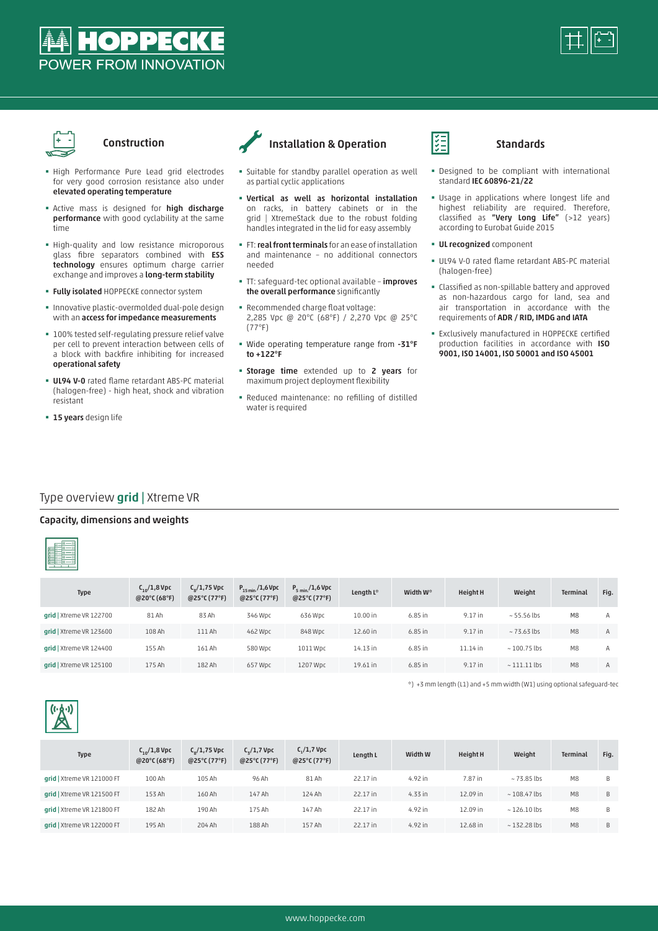





# Construction

- � High Performance Pure Lead grid electrodes for very good corrosion resistance also under elevated operating temperature
- **Active mass is designed for high discharge** performance with good cyclability at the same time
- � High-quality and low resistance microporous glass fibre separators combined with ESS technology ensures optimum charge carrier exchange and improves a long-term stability
- **· Fully isolated HOPPECKE connector system**
- � Innovative plastic-overmolded dual-pole design with an access for impedance measurements
- $\blacksquare$  100% tested self-regulating pressure relief valve per cell to prevent interaction between cells of a block with backfire inhibiting for increased operational safety
- **UL94 V-0** rated flame retardant ABS-PC material (halogen-free) - high heat, shock and vibration resistant
- **· 15 years** design life



# Installation & Operation

- � Suitable for standby parallel operation as well as partial cyclic applications
- � Vertical as well as horizontal installation on racks, in battery cabinets or in the grid | XtremeStack due to the robust folding handles integrated in the lid for easy assembly
- **FT: real front terminals** for an ease of installation and maintenance – no additional connectors needed
- **·** TT: safeguard-tec optional available improves the overall performance significantly
- � Recommended charge float voltage: 2,285 Vpc @ 20°C (68°F) / 2,270 Vpc @ 25°C (77°F)
- � Wide operating temperature range from -31°F to +122°F
- **· Storage time** extended up to 2 years for maximum project deployment flexibility
- � Reduced maintenance: no refilling of distilled water is required



- � Designed to be compliant with international standard IEC 60896-21/22
- � Usage in applications where longest life and highest reliability are required. Therefore, classified as "Very Long Life" (>12 years) according to Eurobat Guide 2015
- **· UL recognized component**
- � UL94 V-0 rated flame retardant ABS-PC material (halogen-free)
- � Classified as non-spillable battery and approved as non-hazardous cargo for land, sea and air transportation in accordance with the requirements of ADR / RID, IMDG and IATA
- � Exclusively manufactured in HOPPECKE certified production facilities in accordance with ISO 9001, ISO 14001, ISO 50001 and ISO 45001

# Type overview grid | Xtreme VR

#### Capacity, dimensions and weights



| <b>Type</b>               | $C_{10}/1,8$ Vpc<br>@20 $^{\circ}$ C (68 $^{\circ}$ F) | $C_{\rm o}/1,75$ Vpc<br>@25°C (77°F) | $P_{15 min} / 1,6 Vpc$<br>$@25^{\circ}$ C (77°F) | $P_{5 min}/1,6 Vpc$<br>$@25^{\circ}C(77^{\circ}F)$ | Length L* | Width W*  | <b>Height H</b> | Weight             | Terminal       | Fig. |
|---------------------------|--------------------------------------------------------|--------------------------------------|--------------------------------------------------|----------------------------------------------------|-----------|-----------|-----------------|--------------------|----------------|------|
| $grid$   Xtreme VR 122700 | 81 Ah                                                  | 83 Ah                                | 346 Wpc                                          | 636 Wpc                                            | 10.00 in  | $6.85$ in | 9.17 in         | $\sim$ 55.56 lbs   | M8             | А    |
| $grid$   Xtreme VR 123600 | 108 Ah                                                 | 111 Ah                               | 462 Wpc                                          | 848 Wpc                                            | 12.60 in  | $6.85$ in | 9.17 in         | $~\sim$ 73.63 lbs  | M <sub>8</sub> | A    |
| $grid$   Xtreme VR 124400 | 155 Ah                                                 | 161 Ah                               | 580 Wpc                                          | 1011 Wpc                                           | 14.13 in  | $6.85$ in | $11.14$ in      | $~\sim$ 100.75 lbs | M8             | А    |
| grid   Xtreme VR 125100   | 175 Ah                                                 | 182 Ah                               | 657 Wpc                                          | 1207 Wpc                                           | 19.61 in  | $6.85$ in | 9.17 in         | $\sim$ 111.11 lbs  | M <sub>8</sub> | A    |

\*) +3 mm length (L1) and +5 mm width (W1) using optional safeguard-tec



| <b>Type</b>                | $C_{10}/1,8$ Vpc<br>@20°C (68°F) | $C_{\rm o}/1,75$ Vpc<br>$@25^{\circ}$ C (77°F) | $C_{2}/1,7$ Vpc<br>$@25^{\circ}C(77^{\circ}F)$ | $C_1/1$ , 7 Vpc<br>$@25^{\circ}C(77^{\circ}F)$ | Length L | Width W   | <b>Height H</b> | Weight            | Terminal | Fig. |
|----------------------------|----------------------------------|------------------------------------------------|------------------------------------------------|------------------------------------------------|----------|-----------|-----------------|-------------------|----------|------|
| grid   Xtreme VR 121000 FT | 100 Ah                           | 105 Ah                                         | 96 Ah                                          | 81 Ah                                          | 22.17 in | 4.92 in   | 7.87 in         | $~\sim$ 73.85 lbs | M8       | B    |
| grid   Xtreme VR 121500 FT | 153 Ah                           | 160 Ah                                         | 147 Ah                                         | 124 Ah                                         | 22.17 in | $4.33$ in | 12.09 in        | $~108.47$ lbs     | M8       | B    |
| grid   Xtreme VR 121800 FT | 182 Ah                           | 190 Ah                                         | 175 Ah                                         | 147 Ah                                         | 22.17 in | 4.92 in   | 12.09 in        | $~126.10$ lbs     | M8       | B    |
| grid   Xtreme VR 122000 FT | 195 Ah                           | 204 Ah                                         | 188 Ah                                         | 157 Ah                                         | 22.17 in | 4.92 in   | 12.68 in        | $~132.28$ lbs     | M8       | B    |